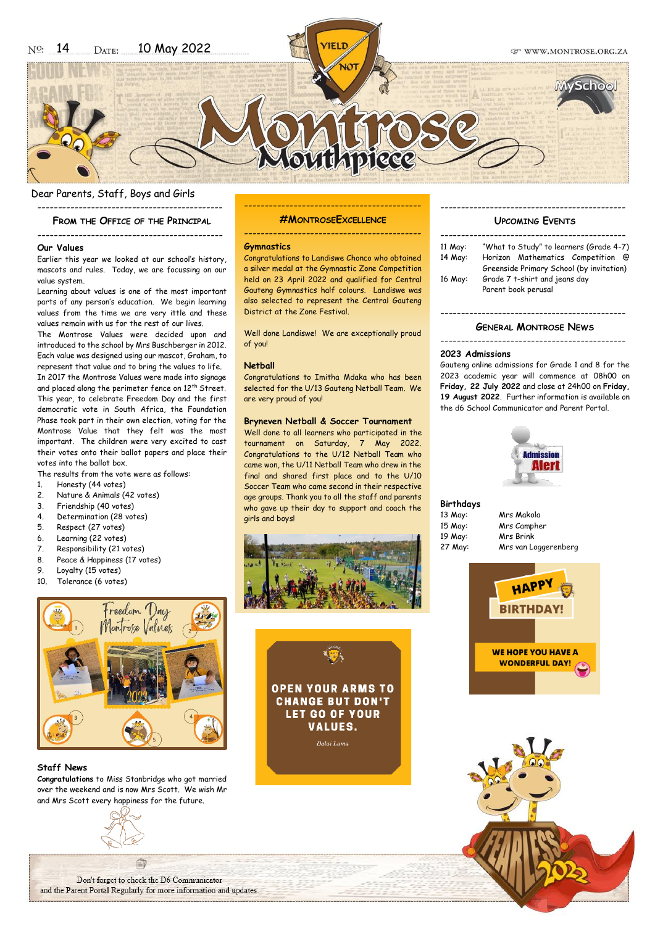# Dear Parents, Staff, Boys and Girls

---------------------------------------------

# **FROM THE OFFICE OF THE PRINCIPAL**

### --------------------------------------------- **Our Values**

Earlier this year we looked at our school's history, mascots and rules. Today, we are focussing on our value system.

Learning about values is one of the most important parts of any person's education. We begin learning values from the time we are very ittle and these values remain with us for the rest of our lives.

The Montrose Values were decided upon and introduced to the school by Mrs Buschberger in 2012. Each value was designed using our mascot, Graham, to represent that value and to bring the values to life. In 2017 the Montrose Values were made into signage and placed along the perimeter fence on 12<sup>th</sup> Street. This year, to celebrate Freedom Day and the first democratic vote in South Africa, the Foundation Phase took part in their own election, voting for the Montrose Value that they felt was the most important. The children were very excited to cast their votes onto their ballot papers and place their votes into the ballot box.

The results from the vote were as follows:

- 1. Honesty (44 votes)
- 2. Nature & Animals (42 votes)
- 3. Friendship (40 votes)
- 4. Determination (28 votes)
- 5. Respect (27 votes)
- 6. Learning (22 votes)
- 7. Responsibility (21 votes)
- 8. Peace & Happiness (17 votes)
- 9. Loyalty (15 votes)
- 10. Tolerance (6 votes)



# **Staff News**

**Congratulations** to Miss Stanbridge who got married over the weekend and is now Mrs Scott. We wish Mr and Mrs Scott every happiness for the future.



Don't forget to check the D6 Communicator and the Parent Portal Regularly for more information and updates.

------------------------------------------- **#MONTROSEEXCELLENCE**

-------------------------------------------

### **Gymnastics**

Congratulations to Landiswe Chonco who obtained a silver medal at the Gymnastic Zone Competition held on 23 April 2022 and qualified for Central Gauteng Gymnastics half colours. Landiswe was also selected to represent the Central Gauteng District at the Zone Festival.

Well done Landiswe! We are exceptionally proud of you!

### **Netball**

Congratulations to Imitha Mdaka who has been selected for the U/13 Gauteng Netball Team. We are very proud of you!

### **Bryneven Netball & Soccer Tournament**

Well done to all learners who participated in the tournament on Saturday, 7 May 2022. Congratulations to the U/12 Netball Team who came won, the U/11 Netball Team who drew in the final and shared first place and to the U/10 Soccer Team who came second in their respective age groups. Thank you to all the staff and parents who gave up their day to support and coach the girls and boys!





# --------------------------------------------- **UPCOMING EVENTS**

| 11 May: | "What to Study" to learners (Grade 4-7)  |
|---------|------------------------------------------|
| 14 May: | Horizon Mathematics Competition<br>ര     |
|         | Greenside Primary School (by invitation) |
| 16 May: | Grade 7 t-shirt and jeans day            |
|         | Parent book perusal                      |
|         |                                          |

# --------------------------------------------- **GENERAL MONTROSE NEWS**

### ---------------------------------------------

### **2023 Admissions**

Gauteng online admissions for Grade 1 and 8 for the 2023 academic year will commence at 08h00 on **Friday, 22 July 2022** and close at 24h00 on **Friday, 19 August 2022**. Further information is available on the d6 School Communicator and Parent Portal.



# **Birthdays**

19 May: Mrs Brink<br>27 May: Mrs van Lo

13 May: Mrs Makola<br>15 May: Mrs Camphe Mrs Campher Mrs van Loggerenberg